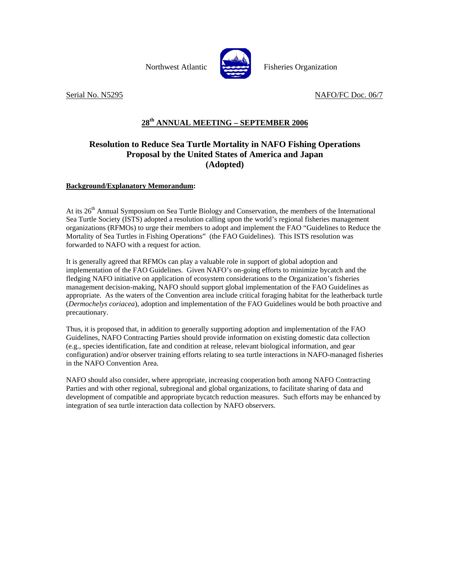Northwest Atlantic **Recent** Fisheries Organization



Serial No. N5295 NAFO/FC Doc. 06/7

# **28th ANNUAL MEETING – SEPTEMBER 2006**

## **Resolution to Reduce Sea Turtle Mortality in NAFO Fishing Operations Proposal by the United States of America and Japan (Adopted)**

### **Background/Explanatory Memorandum:**

At its 26<sup>th</sup> Annual Symposium on Sea Turtle Biology and Conservation, the members of the International Sea Turtle Society (ISTS) adopted a resolution calling upon the world's regional fisheries management organizations (RFMOs) to urge their members to adopt and implement the FAO "Guidelines to Reduce the Mortality of Sea Turtles in Fishing Operations" (the FAO Guidelines). This ISTS resolution was forwarded to NAFO with a request for action.

It is generally agreed that RFMOs can play a valuable role in support of global adoption and implementation of the FAO Guidelines. Given NAFO's on-going efforts to minimize bycatch and the fledging NAFO initiative on application of ecosystem considerations to the Organization's fisheries management decision-making, NAFO should support global implementation of the FAO Guidelines as appropriate. As the waters of the Convention area include critical foraging habitat for the leatherback turtle (*Dermochelys coriacea*), adoption and implementation of the FAO Guidelines would be both proactive and precautionary.

Thus, it is proposed that, in addition to generally supporting adoption and implementation of the FAO Guidelines, NAFO Contracting Parties should provide information on existing domestic data collection (e.g., species identification, fate and condition at release, relevant biological information, and gear configuration) and/or observer training efforts relating to sea turtle interactions in NAFO-managed fisheries in the NAFO Convention Area.

NAFO should also consider, where appropriate, increasing cooperation both among NAFO Contracting Parties and with other regional, subregional and global organizations, to facilitate sharing of data and development of compatible and appropriate bycatch reduction measures. Such efforts may be enhanced by integration of sea turtle interaction data collection by NAFO observers.